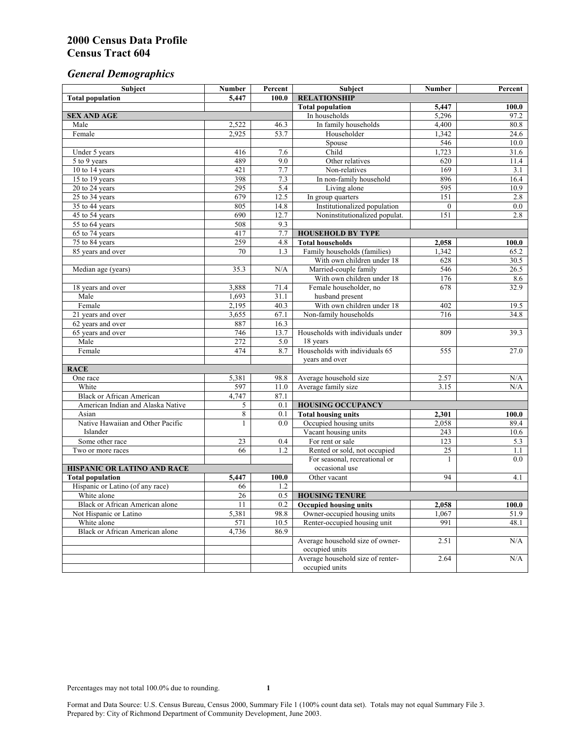# *General Demographics*

| Subject                            | <b>Number</b>          | Percent    | Subject                                             | <b>Number</b>  | Percent       |
|------------------------------------|------------------------|------------|-----------------------------------------------------|----------------|---------------|
| <b>Total population</b>            | 5,447                  | 100.0      | <b>RELATIONSHIP</b>                                 |                |               |
|                                    |                        |            | <b>Total population</b>                             | 5,447          | 100.0         |
| <b>SEX AND AGE</b>                 |                        |            | In households                                       | 5,296          | 97.2          |
| Male                               | 2,522                  | 46.3       | In family households                                | 4,400          | 80.8          |
| Female                             | 2,925                  | 53.7       | Householder                                         | 1,342          | 24.6          |
|                                    |                        |            | Spouse                                              | 546            | 10.0          |
| Under 5 years                      | 416                    | 7.6        | Child                                               | 1,723          | 31.6          |
| 5 to 9 years                       | 489                    | 9.0        | Other relatives                                     | 620            | 11.4          |
| 10 to 14 years                     | 421                    | 7.7        | Non-relatives                                       | 169            | 3.1           |
| 15 to 19 years                     | 398                    | 7.3        | In non-family household                             | 896            | 16.4          |
| 20 to 24 years                     | 295                    | 5.4        | Living alone                                        | 595            | 10.9          |
| $25 \text{ to } 34$ years          | 679                    | 12.5       | In group quarters                                   | 151            | 2.8           |
| 35 to 44 years                     | 805                    | 14.8       | Institutionalized population                        | $\theta$       | 0.0           |
| 45 to 54 years                     | 690                    | 12.7       | Noninstitutionalized populat.                       | 151            | 2.8           |
| 55 to 64 years                     | 508<br>417             | 9.3<br>7.7 |                                                     |                |               |
| 65 to 74 years                     |                        | 4.8        | <b>HOUSEHOLD BY TYPE</b><br><b>Total households</b> |                |               |
| 75 to 84 years                     | 259<br>$\overline{70}$ | 1.3        | Family households (families)                        | 2,058<br>1,342 | 100.0<br>65.2 |
| 85 years and over                  |                        |            | With own children under 18                          | 628            |               |
|                                    | 35.3                   | N/A        | Married-couple family                               | 546            | 30.5<br>26.5  |
| Median age (years)                 |                        |            | With own children under 18                          | 176            | 8.6           |
| 18 years and over                  | 3,888                  | 71.4       | Female householder, no                              | 678            | 32.9          |
| Male                               | 1,693                  | 31.1       | husband present                                     |                |               |
| Female                             | 2,195                  | 40.3       | With own children under 18                          | 402            | 19.5          |
| 21 years and over                  | 3,655                  | 67.1       | Non-family households                               | 716            | 34.8          |
| 62 years and over                  | 887                    | 16.3       |                                                     |                |               |
| 65 years and over                  | 746                    | 13.7       | Households with individuals under                   | 809            | 39.3          |
| Male                               | 272                    | 5.0        | 18 years                                            |                |               |
| Female                             | 474                    | 8.7        | Households with individuals 65                      | 555            | 27.0          |
|                                    |                        |            | years and over                                      |                |               |
| <b>RACE</b>                        |                        |            |                                                     |                |               |
| One race                           | 5,381                  | 98.8       | Average household size                              | 2.57           | $\rm N/A$     |
| White                              | 597                    | 11.0       | Average family size                                 | 3.15           | N/A           |
| <b>Black or African American</b>   | 4,747                  | 87.1       |                                                     |                |               |
| American Indian and Alaska Native  | 5                      | 0.1        | <b>HOUSING OCCUPANCY</b>                            |                |               |
| Asian                              | 8                      | 0.1        | <b>Total housing units</b>                          | 2,301          | 100.0         |
| Native Hawaiian and Other Pacific  | 1                      | 0.0        | Occupied housing units                              | 2,058          | 89.4          |
| Islander                           |                        |            | Vacant housing units                                | 243            | 10.6          |
| Some other race                    | 23                     | 0.4        | For rent or sale                                    | 123            | 5.3           |
| Two or more races                  | 66                     | 1.2        | Rented or sold, not occupied                        | 25             | 1.1           |
|                                    |                        |            | For seasonal, recreational or                       | 1              | 0.0           |
| <b>HISPANIC OR LATINO AND RACE</b> |                        |            | occasional use                                      |                |               |
| <b>Total population</b>            | 5,447                  | 100.0      | Other vacant                                        | 94             | 4.1           |
| Hispanic or Latino (of any race)   | 66                     | 1.2        |                                                     |                |               |
| White alone                        | 26                     | 0.5        | <b>HOUSING TENURE</b>                               |                |               |
| Black or African American alone    | 11                     | 0.2        | <b>Occupied housing units</b>                       | 2,058          | 100.0         |
| Not Hispanic or Latino             | 5,381                  | 98.8       | Owner-occupied housing units                        | 1,067          | 51.9          |
| White alone                        | 571                    | 10.5       | Renter-occupied housing unit                        | 991            | 48.1          |
| Black or African American alone    | 4,736                  | 86.9       |                                                     |                |               |
|                                    |                        |            | Average household size of owner-                    | 2.51           | N/A           |
|                                    |                        |            | occupied units                                      |                |               |
|                                    |                        |            | Average household size of renter-                   | 2.64           | N/A           |
|                                    |                        |            | occupied units                                      |                |               |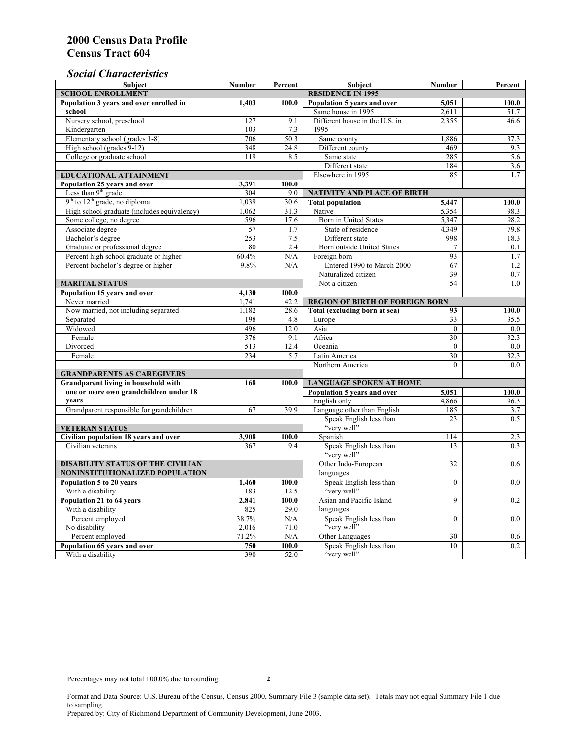## *Social Characteristics*

| <b>Subject</b>                              | <b>Number</b>                  | Percent             | <b>Subject</b>                         | <b>Number</b>   | Percent |  |  |  |
|---------------------------------------------|--------------------------------|---------------------|----------------------------------------|-----------------|---------|--|--|--|
| <b>SCHOOL ENROLLMENT</b>                    | <b>RESIDENCE IN 1995</b>       |                     |                                        |                 |         |  |  |  |
| Population 3 years and over enrolled in     | 1,403                          | 100.0               | Population 5 years and over            | 5,051           | 100.0   |  |  |  |
| school                                      |                                |                     | Same house in 1995                     | 2,611           | 51.7    |  |  |  |
| Nursery school, preschool                   | 127                            | 9.1                 | Different house in the U.S. in         | 2.355           | 46.6    |  |  |  |
| Kindergarten                                | 103                            | 7.3                 | 1995                                   |                 |         |  |  |  |
| Elementary school (grades 1-8)              | 706                            | 50.3                | Same county                            | 1,886           | 37.3    |  |  |  |
| High school (grades 9-12)                   | 348                            | 24.8                | Different county                       | 469             | 9.3     |  |  |  |
| College or graduate school                  | 119                            | 8.5                 | Same state                             | 285             | 5.6     |  |  |  |
|                                             |                                |                     | Different state                        | 184             | 3.6     |  |  |  |
| EDUCATIONAL ATTAINMENT                      |                                |                     | Elsewhere in 1995                      | 85              | 1.7     |  |  |  |
| Population 25 years and over                | 3,391                          | 100.0               |                                        |                 |         |  |  |  |
| Less than 9 <sup>th</sup> grade             | 304                            | 9.0                 | <b>NATIVITY AND PLACE OF BIRTH</b>     |                 |         |  |  |  |
| $9th$ to $12th$ grade, no diploma           | 1,039                          | 30.6                | <b>Total population</b>                | 5,447           | 100.0   |  |  |  |
| High school graduate (includes equivalency) | 1.062                          | 31.3                | Native                                 | 5,354           | 98.3    |  |  |  |
| Some college, no degree                     | 596                            | 17.6                | Born in United States                  | 5,347           | 98.2    |  |  |  |
| Associate degree                            | 57                             | 1.7                 | State of residence                     | 4,349           | 79.8    |  |  |  |
| Bachelor's degree                           | 253                            | $7.5\,$             | Different state                        | 998             | 18.3    |  |  |  |
| Graduate or professional degree             | 80                             | 2.4                 | Born outside United States             | $\tau$          | 0.1     |  |  |  |
| Percent high school graduate or higher      | 60.4%                          | N/A                 | Foreign born                           | 93              | 1.7     |  |  |  |
| Percent bachelor's degree or higher         | 9.8%                           | N/A                 | Entered 1990 to March 2000             | 67              | 1.2     |  |  |  |
|                                             |                                |                     | Naturalized citizen                    | 39              | 0.7     |  |  |  |
| <b>MARITAL STATUS</b>                       | Not a citizen                  | 54                  | 1.0                                    |                 |         |  |  |  |
| Population 15 years and over                | 4,130                          | 100.0               |                                        |                 |         |  |  |  |
| Never married                               | 1,741                          | 42.2                | <b>REGION OF BIRTH OF FOREIGN BORN</b> |                 |         |  |  |  |
| Now married, not including separated        | 1,182                          | 28.6                | Total (excluding born at sea)          | 93              | 100.0   |  |  |  |
| Separated                                   | 198                            | 4.8                 | Europe                                 | 33              | 35.5    |  |  |  |
| Widowed                                     | 496                            | 12.0                | Asia                                   | $\mathbf{0}$    | 0.0     |  |  |  |
| Female                                      | 376                            | 9.1                 | Africa                                 | 30              | 32.3    |  |  |  |
| Divorced                                    | 513                            | 12.4                | Oceania                                | $\Omega$        | 0.0     |  |  |  |
| Female                                      | 234                            | 5.7                 | Latin America                          | $\overline{30}$ | 32.3    |  |  |  |
|                                             |                                |                     | Northern America                       | $\theta$        | 0.0     |  |  |  |
| <b>GRANDPARENTS AS CAREGIVERS</b>           |                                |                     |                                        |                 |         |  |  |  |
| Grandparent living in household with        | <b>LANGUAGE SPOKEN AT HOME</b> |                     |                                        |                 |         |  |  |  |
| one or more own grandchildren under 18      |                                |                     | Population 5 years and over            | 5,051           | 100.0   |  |  |  |
| years                                       |                                |                     | English only                           | 4,866           | 96.3    |  |  |  |
| Grandparent responsible for grandchildren   | 67                             | 39.9                | Language other than English            | 185             | 3.7     |  |  |  |
|                                             |                                |                     | Speak English less than                | 23              | 0.5     |  |  |  |
| <b>VETERAN STATUS</b>                       |                                |                     | "very well"                            |                 |         |  |  |  |
| Civilian population 18 years and over       | 3,908                          | 100.0               | Spanish                                | 114             | 2.3     |  |  |  |
| Civilian veterans                           | 367                            | 9.4                 | Speak English less than                | 13              | 0.3     |  |  |  |
|                                             |                                |                     | "very well"                            |                 |         |  |  |  |
| <b>DISABILITY STATUS OF THE CIVILIAN</b>    |                                | Other Indo-European | 32                                     | 0.6             |         |  |  |  |
| NONINSTITUTIONALIZED POPULATION             | languages                      |                     |                                        |                 |         |  |  |  |
| Population 5 to 20 years                    | 1,460                          | 100.0               | Speak English less than                | $\theta$        | 0.0     |  |  |  |
| With a disability                           | 183                            | 12.5                | "very well"                            |                 |         |  |  |  |
| Population 21 to 64 years                   | 2,841                          | 100.0               | Asian and Pacific Island               | 9               | 0.2     |  |  |  |
| With a disability                           | 825                            | 29.0                | languages                              |                 |         |  |  |  |
| Percent employed                            | 38.7%                          | N/A                 | Speak English less than                | $\theta$        | 0.0     |  |  |  |
| No disability                               | 2,016                          | 71.0                | "very well"                            |                 |         |  |  |  |
| Percent employed                            | 71.2%                          | N/A                 | Other Languages                        | 30              | 0.6     |  |  |  |
| Population 65 years and over                | 750                            | 100.0               | Speak English less than                | 10              | 0.2     |  |  |  |
| With a disability                           | 390                            | 52.0                | "very well"                            |                 |         |  |  |  |

Format and Data Source: U.S. Bureau of the Census, Census 2000, Summary File 3 (sample data set). Totals may not equal Summary File 1 due to sampling.

Prepared by: City of Richmond Department of Community Development, June 2003.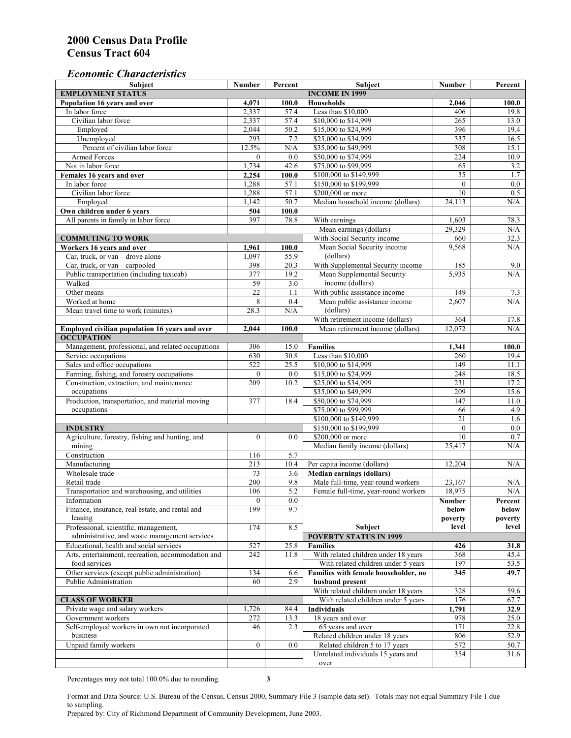#### *Economic Characteristics*

| Subject                                                                                | <b>Number</b>    | Percent          | Subject                                                                    | <b>Number</b>    | Percent          |
|----------------------------------------------------------------------------------------|------------------|------------------|----------------------------------------------------------------------------|------------------|------------------|
| <b>EMPLOYMENT STATUS</b>                                                               |                  |                  | <b>INCOME IN 1999</b>                                                      |                  |                  |
| Population 16 years and over                                                           | 4,071            | 100.0            | <b>Households</b>                                                          | 2,046            | 100.0            |
| In labor force                                                                         | 2,337            | 57.4             | Less than \$10,000                                                         | 406              | 19.8             |
| Civilian labor force                                                                   | 2,337            | 57.4             | \$10,000 to \$14,999                                                       | 265              | 13.0             |
| Employed                                                                               | 2,044            | 50.2             | \$15,000 to \$24,999                                                       | 396              | 19.4             |
| Unemployed                                                                             | 293              | 7.2              | \$25,000 to \$34,999                                                       | 337              | 16.5             |
| Percent of civilian labor force                                                        | 12.5%            | N/A              | \$35,000 to \$49,999                                                       | 308              | 15.1             |
| <b>Armed Forces</b>                                                                    | $\Omega$         | 0.0              | \$50,000 to \$74,999                                                       | 224              | 10.9             |
| Not in labor force                                                                     | 1,734            | 42.6             | \$75,000 to \$99,999                                                       | 65               | 3.2              |
| Females 16 years and over                                                              | 2,254            | 100.0            | \$100,000 to \$149,999                                                     | 35               | 1.7              |
| In labor force                                                                         | 1,288            | 57.1             | \$150,000 to \$199,999                                                     | $\mathbf{0}$     | 0.0              |
| Civilian labor force                                                                   | 1,288            | 57.1             | \$200,000 or more                                                          | 10               | 0.5              |
| Employed                                                                               | 1,142            | 50.7             | Median household income (dollars)                                          | 24,113           | N/A              |
| Own children under 6 years                                                             | 504              | 100.0            |                                                                            |                  |                  |
| All parents in family in labor force                                                   | 397              | 78.8             | With earnings                                                              | 1,603            | 78.3             |
|                                                                                        |                  |                  | Mean earnings (dollars)                                                    | 29,329           | N/A              |
| <b>COMMUTING TO WORK</b>                                                               |                  |                  | With Social Security income                                                | 660              | 32.3             |
| Workers 16 years and over                                                              | 1,961            | 100.0            | Mean Social Security income                                                | 9,568            | N/A              |
| Car, truck, or van - drove alone                                                       | 1.097            | 55.9             | (dollars)                                                                  |                  |                  |
| Car, truck, or $van - carpooled$                                                       | 398              | 20.3             | With Supplemental Security income                                          | 185              | 9.0              |
| Public transportation (including taxicab)                                              | 377              | 19.2             | Mean Supplemental Security                                                 | 5,935            | N/A              |
| Walked                                                                                 | 59               | 3.0              | income (dollars)                                                           |                  |                  |
| Other means                                                                            | $\overline{22}$  | 1.1              | With public assistance income                                              | 149              | 7.3              |
| Worked at home                                                                         | 8                | 0.4              | Mean public assistance income                                              | 2,607            | N/A              |
| Mean travel time to work (minutes)                                                     | 28.3             | N/A              | (dollars)                                                                  |                  |                  |
|                                                                                        |                  |                  | With retirement income (dollars)                                           | 364              | 17.8             |
| Employed civilian population 16 years and over                                         | 2.044            | 100.0            | Mean retirement income (dollars)                                           | 12,072           | N/A              |
| <b>OCCUPATION</b>                                                                      |                  |                  |                                                                            |                  |                  |
| Management, professional, and related occupations                                      | 306              | 15.0             | <b>Families</b>                                                            | 1,341            | 100.0            |
| Service occupations                                                                    | 630              | 30.8             | Less than \$10,000                                                         | 260              | 19.4             |
| Sales and office occupations                                                           | 522              | 25.5             | \$10,000 to \$14,999                                                       | 149              | 11.1             |
| Farming, fishing, and forestry occupations                                             | $\mathbf{0}$     | 0.0              | \$15,000 to \$24,999                                                       | 248              | 18.5             |
| Construction, extraction, and maintenance                                              | 209              | 10.2             | \$25,000 to \$34,999                                                       | 231              | 17.2             |
| occupations                                                                            |                  |                  | \$35,000 to \$49,999                                                       | 209              | 15.6             |
| Production, transportation, and material moving                                        | 377              | 18.4             | \$50,000 to \$74,999                                                       | 147              | 11.0             |
| occupations                                                                            |                  |                  | \$75,000 to \$99,999                                                       | 66               | 4.9              |
|                                                                                        |                  |                  | \$100,000 to \$149,999                                                     | $\overline{21}$  | 1.6              |
| <b>INDUSTRY</b>                                                                        |                  |                  | \$150,000 to \$199,999                                                     | $\mathbf{0}$     | 0.0              |
| Agriculture, forestry, fishing and hunting, and                                        | $\boldsymbol{0}$ | 0.0              | \$200,000 or more                                                          | 10               | 0.7              |
| mining                                                                                 |                  |                  | Median family income (dollars)                                             | 25.417           | N/A              |
| Construction                                                                           | 116              | 5.7              |                                                                            |                  |                  |
| Manufacturing                                                                          | 213              | 10.4             | Per capita income (dollars)                                                | 12,204           | N/A              |
| Wholesale trade                                                                        |                  |                  |                                                                            |                  |                  |
| Retail trade                                                                           | 73<br>200        | 3.6<br>9.8       | <b>Median earnings (dollars)</b>                                           |                  |                  |
| Transportation and warehousing, and utilities                                          | 106              | $\overline{5.2}$ | Male full-time, year-round workers<br>Female full-time, year-round workers | 23,167<br>18,975 | N/A<br>$\rm N/A$ |
|                                                                                        |                  |                  |                                                                            |                  |                  |
| Information<br>Finance, insurance, real estate, and rental and                         | 0<br>199         | 0.0<br>9.7       |                                                                            | Number           | Percent          |
|                                                                                        |                  |                  |                                                                            | below            | below            |
| leasing                                                                                | 174              |                  | Subject                                                                    | poverty<br>level | poverty<br>level |
| Professional, scientific, management,<br>administrative, and waste management services |                  | 8.5              | <b>POVERTY STATUS IN 1999</b>                                              |                  |                  |
| Educational, health and social services                                                |                  |                  |                                                                            |                  |                  |
|                                                                                        | 527              | 25.8             | <b>Families</b>                                                            | 426              | 31.8             |
| Arts, entertainment, recreation, accommodation and<br>food services                    | 242              | 11.8             | With related children under 18 years                                       | 368              | 45.4             |
|                                                                                        |                  |                  | With related children under 5 years                                        | 197              | 53.5             |
| Other services (except public administration)<br>Public Administration                 | 134              | 6.6              | Families with female householder, no                                       | 345              | 49.7             |
|                                                                                        | 60               | 2.9              | husband present                                                            |                  |                  |
|                                                                                        |                  |                  | With related children under 18 years                                       | 328              | 59.6             |
| <b>CLASS OF WORKER</b>                                                                 |                  |                  | With related children under 5 years                                        | 176              | 67.7             |
| Private wage and salary workers                                                        | 1,726            | 84.4             | <b>Individuals</b>                                                         | 1,791            | 32.9             |
| Government workers                                                                     | 272              | 13.3             | 18 years and over                                                          | 978              | 25.0             |
| Self-employed workers in own not incorporated                                          | 46               | 2.3              | 65 years and over                                                          | 171              | 22.8             |
| business                                                                               |                  |                  | Related children under 18 years                                            | 806              | 52.9             |
| Unpaid family workers                                                                  | $\overline{0}$   | 0.0              | Related children 5 to 17 years                                             | 572              | 50.7             |
|                                                                                        |                  |                  | Unrelated individuals 15 years and                                         | 354              | 31.6             |
|                                                                                        |                  |                  | over                                                                       |                  |                  |

Percentages may not total 100.0% due to rounding. **3** 

Format and Data Source: U.S. Bureau of the Census, Census 2000, Summary File 3 (sample data set). Totals may not equal Summary File 1 due to sampling.

Prepared by: City of Richmond Department of Community Development, June 2003.